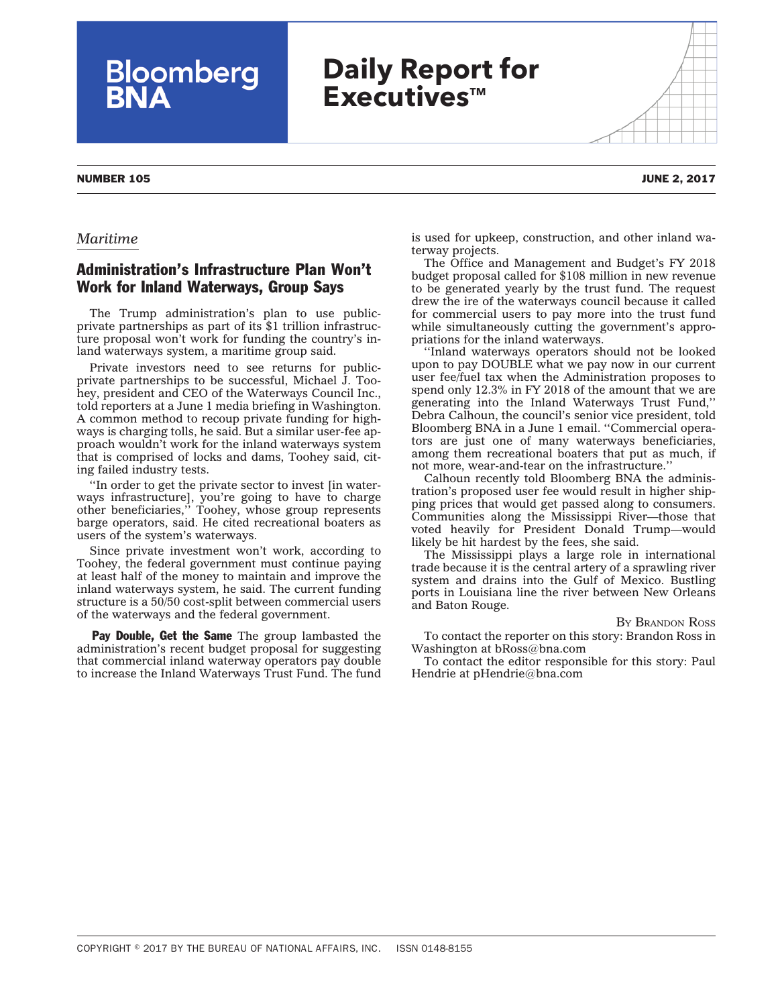## *Maritime*

## Administration's Infrastructure Plan Won't Work for Inland Waterways, Group Says

**Bloomberg**<br>**BNA** 

The Trump administration's plan to use publicprivate partnerships as part of its \$1 trillion infrastructure proposal won't work for funding the country's inland waterways system, a maritime group said.

Private investors need to see returns for publicprivate partnerships to be successful, Michael J. Toohey, president and CEO of the Waterways Council Inc., told reporters at a June 1 media briefing in Washington. A common method to recoup private funding for highways is charging tolls, he said. But a similar user-fee approach wouldn't work for the inland waterways system that is comprised of locks and dams, Toohey said, citing failed industry tests.

''In order to get the private sector to invest [in waterways infrastructure], you're going to have to charge other beneficiaries,'' Toohey, whose group represents barge operators, said. He cited recreational boaters as users of the system's waterways.

Since private investment won't work, according to Toohey, the federal government must continue paying at least half of the money to maintain and improve the inland waterways system, he said. The current funding structure is a 50/50 cost-split between commercial users of the waterways and the federal government.

**Pay Double, Get the Same** The group lambasted the administration's recent budget proposal for suggesting that commercial inland waterway operators pay double to increase the Inland Waterways Trust Fund. The fund

is used for upkeep, construction, and other inland waterway projects.

The Office and Management and Budget's FY 2018 budget proposal called for \$108 million in new revenue to be generated yearly by the trust fund. The request drew the ire of the waterways council because it called for commercial users to pay more into the trust fund while simultaneously cutting the government's appropriations for the inland waterways.

''Inland waterways operators should not be looked upon to pay DOUBLE what we pay now in our current user fee/fuel tax when the Administration proposes to spend only 12.3% in FY 2018 of the amount that we are generating into the Inland Waterways Trust Fund,'' Debra Calhoun, the council's senior vice president, told Bloomberg BNA in a June 1 email. ''Commercial operators are just one of many waterways beneficiaries, among them recreational boaters that put as much, if not more, wear-and-tear on the infrastructure.''

Calhoun recently told Bloomberg BNA the administration's proposed user fee would result in higher shipping prices that would get passed along to consumers. Communities along the Mississippi River—those that voted heavily for President Donald Trump—would likely be hit hardest by the fees, she said.

The Mississippi plays a large role in international trade because it is the central artery of a sprawling river system and drains into the Gulf of Mexico. Bustling ports in Louisiana line the river between New Orleans and Baton Rouge.

## BY [BRANDON](mailto:bRoss@bna.com) ROSS

To contact the reporter on this story: Brandon Ross in Washington at [bRoss@bna.com](mailto:bRoss@bna.com)

To contact the editor responsible for this story: Paul Hendrie at [pHendrie@bna.com](mailto:pHendrie@bna.com)

NUMBER 105 JUNE 2, 2017